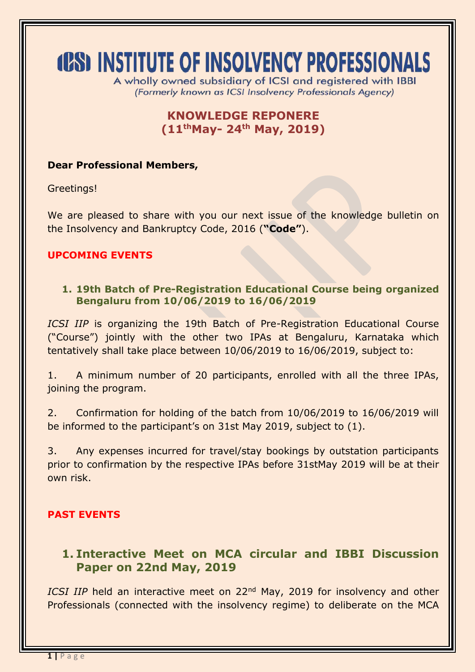# **(CS) INSTITUTE OF INSOLVENCY PROFESSIONALS**

A wholly owned subsidiary of ICSI and reaistered with IBBI (Formerly known as ICSI Insolvency Professionals Agency)

# **KNOWLEDGE REPONERE (11 thMay- 24th May, 2019)**

#### **Dear Professional Members,**

Greetings!

We are pleased to share with you our next issue of the knowledge bulletin on the Insolvency and Bankruptcy Code, 2016 (**"Code"**).

#### **UPCOMING EVENTS**

#### **1. 19th Batch of Pre-Registration Educational Course being organized Bengaluru from 10/06/2019 to 16/06/2019**

*ICSI IIP* is organizing the 19th Batch of Pre-Registration Educational Course ("Course") jointly with the other two IPAs at Bengaluru, Karnataka which tentatively shall take place between 10/06/2019 to 16/06/2019, subject to:

1. A minimum number of 20 participants, enrolled with all the three IPAs, joining the program.

2. Confirmation for holding of the batch from 10/06/2019 to 16/06/2019 will be informed to the participant's on 31st May 2019, subject to (1).

3. Any expenses incurred for travel/stay bookings by outstation participants prior to confirmation by the respective IPAs before 31stMay 2019 will be at their own risk.

## **PAST EVENTS**

## **1. Interactive Meet on MCA circular and IBBI Discussion Paper on 22nd May, 2019**

*ICSI IIP* held an interactive meet on 22<sup>nd</sup> May, 2019 for insolvency and other Professionals (connected with the insolvency regime) to deliberate on the MCA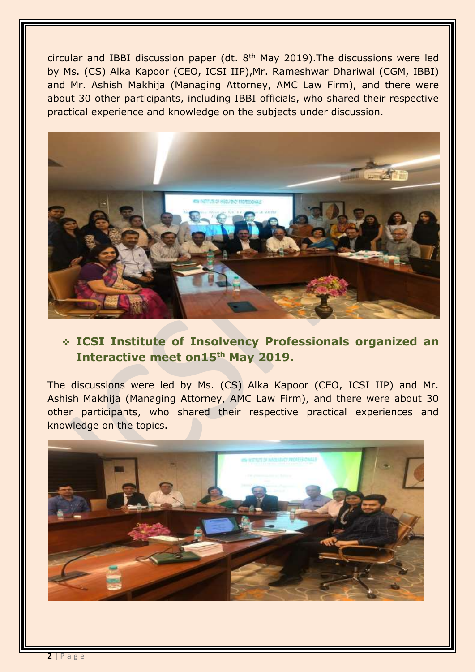circular and IBBI discussion paper (dt. 8<sup>th</sup> May 2019). The discussions were led by Ms. (CS) Alka Kapoor (CEO, ICSI IIP),Mr. Rameshwar Dhariwal (CGM, IBBI) and Mr. Ashish Makhija (Managing Attorney, AMC Law Firm), and there were about 30 other participants, including IBBI officials, who shared their respective practical experience and knowledge on the subjects under discussion.



# **ICSI Institute of Insolvency Professionals organized an Interactive meet on15th May 2019.**

The discussions were led by Ms. (CS) Alka Kapoor (CEO, ICSI IIP) and Mr. Ashish Makhija (Managing Attorney, AMC Law Firm), and there were about 30 other participants, who shared their respective practical experiences and knowledge on the topics.

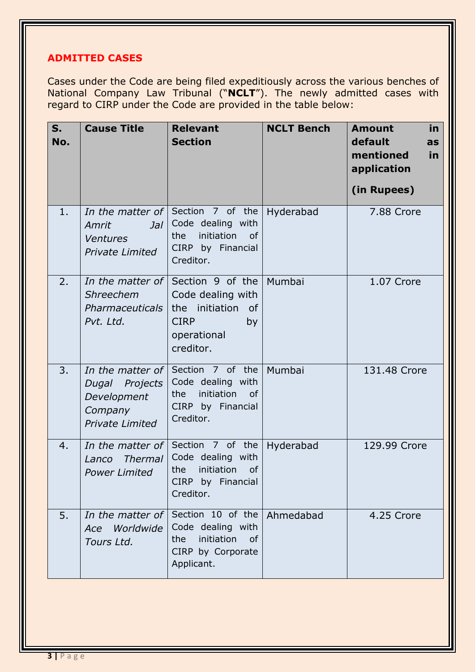## **ADMITTED CASES**

Cases under the Code are being filed expeditiously across the various benches of National Company Law Tribunal ("**NCLT**"). The newly admitted cases with regard to CIRP under the Code are provided in the table below:

| S.<br>No. | <b>Cause Title</b>                                                                     | <b>Relevant</b><br><b>Section</b>                                                                                            | <b>NCLT Bench</b> | <b>in</b><br><b>Amount</b><br>default<br>as<br>mentioned<br>in<br>application<br>(in Rupees) |
|-----------|----------------------------------------------------------------------------------------|------------------------------------------------------------------------------------------------------------------------------|-------------------|----------------------------------------------------------------------------------------------|
| 1.        | Amrit<br>$J$ al<br><b>Ventures</b><br><b>Private Limited</b>                           | In the matter of Section 7 of the<br>Code dealing with<br>initiation<br>the<br><b>of</b><br>CIRP by Financial<br>Creditor.   | Hyderabad         | 7.88 Crore                                                                                   |
| 2.        | In the matter of<br>Shreechem<br>Pharmaceuticals<br>Pvt. Ltd.                          | Section 9 of the Mumbai<br>Code dealing with<br>the initiation<br><b>of</b><br><b>CIRP</b><br>by<br>operational<br>creditor. |                   | 1.07 Crore                                                                                   |
| 3.        | In the matter of<br>Dugal Projects<br>Development<br>Company<br><b>Private Limited</b> | Section 7 of the<br>Code dealing with<br>initiation<br>the<br><sub>of</sub><br>CIRP by Financial<br>Creditor.                | Mumbai            | 131.48 Crore                                                                                 |
| 4.        | In the matter of<br><b>Thermal</b><br>Lanco<br><b>Power Limited</b>                    | Section 7 of the<br>Code dealing with<br>initiation<br>the<br>of<br>CIRP by Financial<br>Creditor.                           | Hyderabad         | 129.99 Crore                                                                                 |
| 5.        | In the matter of<br>Worldwide<br>Ace<br>Tours Ltd.                                     | Section 10 of the Ahmedabad<br>Code dealing with<br>initiation<br>the<br><sub>of</sub><br>CIRP by Corporate<br>Applicant.    |                   | 4.25 Crore                                                                                   |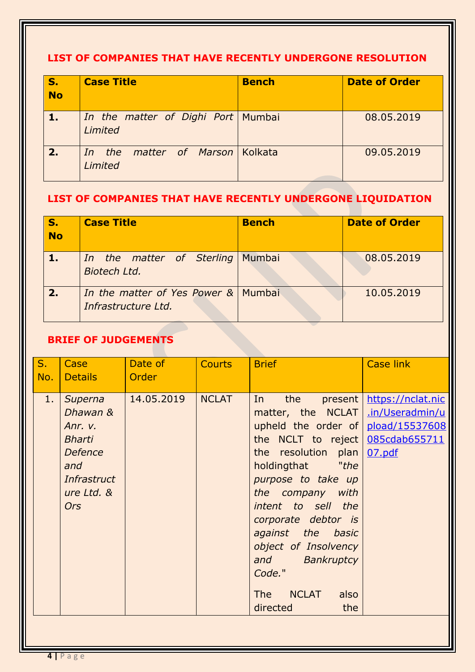## **LIST OF COMPANIES THAT HAVE RECENTLY UNDERGONE RESOLUTION**

| $\sqrt{s}$ .<br><b>No</b> | <b>Case Title</b>                             | <b>Bench</b> | <b>Date of Order</b> |
|---------------------------|-----------------------------------------------|--------------|----------------------|
| <b>AV</b>                 | In the matter of Dighi Port Mumbai<br>Limited |              | 08.05.2019           |
| 2.                        | In the<br>matter of Marson Kolkata<br>Limited |              | 09.05.2019           |

# **LIST OF COMPANIES THAT HAVE RECENTLY UNDERGONE LIQUIDATION**

| S.<br><b>No</b> | <b>Case Title</b>                                          | <b>Bench</b> | <b>Date of Order</b> |
|-----------------|------------------------------------------------------------|--------------|----------------------|
|                 | In the matter of Sterling Mumbai<br>Biotech Ltd.           |              | 08.05.2019           |
| 2.1             | In the matter of Yes Power & Mumbai<br>Infrastructure Ltd. |              | 10.05.2019           |

## **BRIEF OF JUDGEMENTS**

| $S_{1}$<br>No. | Case<br><b>Details</b>                                                                                              | Date of<br>Order | <b>Courts</b> | <b>Brief</b>                                                                                                                                                                                                                                                                                                                                                    | <b>Case link</b>                                                                  |
|----------------|---------------------------------------------------------------------------------------------------------------------|------------------|---------------|-----------------------------------------------------------------------------------------------------------------------------------------------------------------------------------------------------------------------------------------------------------------------------------------------------------------------------------------------------------------|-----------------------------------------------------------------------------------|
| 1.             | Superna<br>Dhawan &<br>Anr. v.<br><b>Bharti</b><br><b>Defence</b><br>and<br>Infrastruct<br>ure Ltd. &<br><b>Ors</b> | 14.05.2019       | <b>NCLAT</b>  | the<br>In<br>present  <br>matter, the NCLAT<br>upheld the order of<br>the NCLT to reject<br>the resolution plan<br>holdingthat<br>"the<br>purpose to take up<br>the company with<br>intent to sell the<br>corporate debtor is<br>against the basic<br>object of Insolvency<br>and Bankruptcy<br>Code."<br><b>NCLAT</b><br>also<br><b>The</b><br>the<br>directed | https://nclat.nic<br>.in/Useradmin/u<br>pload/15537608<br>085cdab655711<br>07.pdf |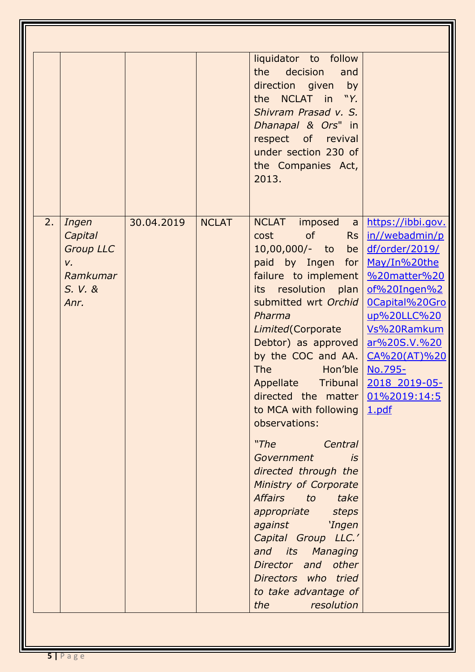|    |                                                                           |            |              | liquidator to follow<br>the decision<br>and<br>direction given by<br>the NCLAT in "Y.<br>Shivram Prasad v. S.<br>Dhanapal & Ors" in<br>respect of revival<br>under section 230 of<br>the Companies Act,<br>2013.                                                                                                                                                                                                                                                                                                                                                                                                                                                                                         |                                                                                                                                                                                                                            |
|----|---------------------------------------------------------------------------|------------|--------------|----------------------------------------------------------------------------------------------------------------------------------------------------------------------------------------------------------------------------------------------------------------------------------------------------------------------------------------------------------------------------------------------------------------------------------------------------------------------------------------------------------------------------------------------------------------------------------------------------------------------------------------------------------------------------------------------------------|----------------------------------------------------------------------------------------------------------------------------------------------------------------------------------------------------------------------------|
| 2. | Ingen<br>Capital<br><b>Group LLC</b><br>v.<br>Ramkumar<br>S. V. &<br>Anr. | 30.04.2019 | <b>NCLAT</b> | <b>NCLAT</b><br>imposed<br> a <br>of<br>cost<br>Rs<br>10,00,000/- to<br>be<br>paid by Ingen for<br>failure to implement<br>its resolution plan<br>submitted wrt Orchid<br>Pharma<br>Limited (Corporate<br>Debtor) as approved<br>by the COC and AA. $ $<br><b>The</b><br><b>Example Hon'ble</b><br>Appellate Tribunal<br>directed the matter $0.1\%2019:14:5$<br>to MCA with following<br>observations:<br>"The<br>Central<br>Government<br>is<br>directed through the<br>Ministry of Corporate<br><b>Affairs</b><br>to take<br>appropriate steps<br>against 'Ingen<br>Capital Group LLC.'<br>and its Managing<br>Director and other<br>Directors who tried<br>to take advantage of<br>resolution<br>the | https://ibbi.gov.<br>in//webadmin/p<br>df/order/2019/<br>May/In%20the<br>%20matter%20<br>of%20Ingen%2<br>OCapital%20Gro<br>up%20LLC%20<br>Vs%20Ramkum<br>ar%20S.V.%20<br>CA%20(AT)%20<br>No.795-<br>2018 2019-05-<br>1.pdf |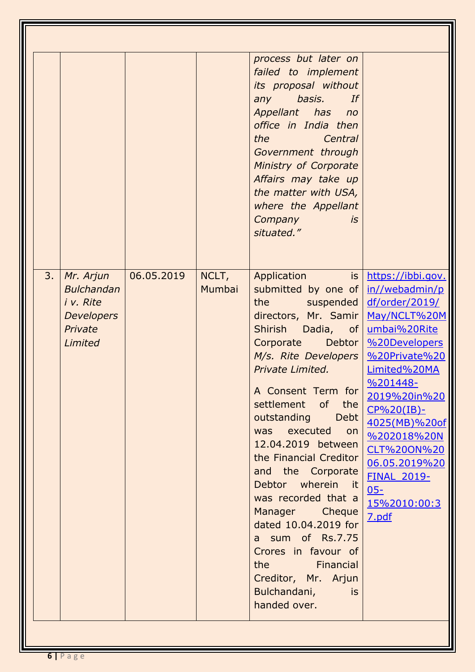|    |                                                                                        |            |                 | process but later on<br>failed to implement<br>its proposal without<br>any<br>basis.<br>If<br>Appellant has no<br>office in India then<br>the<br>Central<br>Government through<br>Ministry of Corporate<br>Affairs may take up<br>the matter with USA,<br>where the Appellant<br>Company<br>is<br>situated."                                                                                                                                                                                                                                                                         |                                                                                                                                                                                                                                                                                                                |
|----|----------------------------------------------------------------------------------------|------------|-----------------|--------------------------------------------------------------------------------------------------------------------------------------------------------------------------------------------------------------------------------------------------------------------------------------------------------------------------------------------------------------------------------------------------------------------------------------------------------------------------------------------------------------------------------------------------------------------------------------|----------------------------------------------------------------------------------------------------------------------------------------------------------------------------------------------------------------------------------------------------------------------------------------------------------------|
| 3. | Mr. Arjun<br><b>Bulchandan</b><br>i v. Rite<br><b>Developers</b><br>Private<br>Limited | 06.05.2019 | NCLT,<br>Mumbai | <b>Application</b><br>is l<br>submitted by one of<br>the<br>suspended  <br>directors, Mr. Samir<br>Shirish Dadia,<br>of <sub>l</sub><br>Corporate Debtor<br>M/s. Rite Developers<br><b>Private Limited.</b><br>A Consent Term for<br>settlement of the<br>outstanding Debt<br>executed on<br>was<br>12.04.2019 between<br>the Financial Creditor<br>and the Corporate<br>Debtor wherein it<br>was recorded that a<br>Manager Cheque<br>dated 10.04.2019 for<br>a sum of Rs.7.75<br>Crores in favour of<br>the Financial<br>Creditor, Mr. Arjun<br>Bulchandani,<br>is<br>handed over. | https://ibbi.gov.<br>in//webadmin/p<br>df/order/2019/<br>May/NCLT%20M<br>umbai%20Rite<br>%20Developers<br>%20Private%20<br>Limited%20MA<br>%201448-<br>2019%20in%20<br>$CP\%20(IB)$ -<br>4025(MB)%20of<br>%202018%20N<br>CLT%20ON%20<br>06.05.2019%20<br><b>FINAL 2019-</b><br>$05 -$<br>15%2010:00:3<br>7.pdf |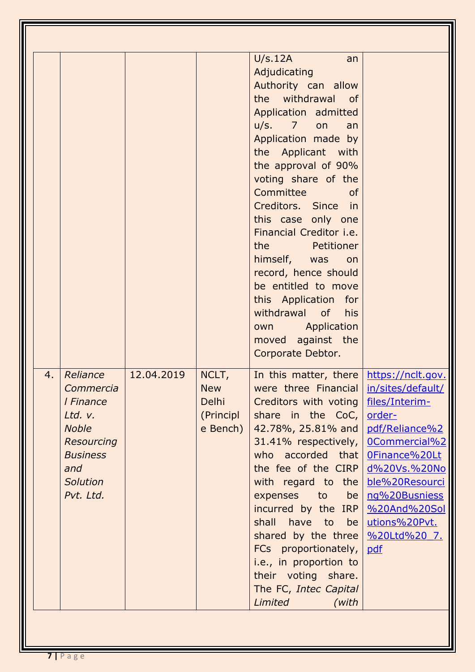| 4. | Reliance<br>Commercia<br>I Finance<br>Ltd. v.<br><b>Noble</b><br><b>Resourcing</b><br><b>Business</b><br>and<br><b>Solution</b><br>Pvt. Ltd. | 12.04.2019 | NCLT,<br><b>New</b><br><b>Delhi</b><br>(Principl<br>e Bench) | U/s.12A<br>an<br>Adjudicating<br>Authority can allow<br>the withdrawal of<br>Application admitted<br>$u/s.$ 7 on<br>an<br>Application made by<br>the Applicant with<br>the approval of 90%<br>voting share of the<br>Committee<br><b>of</b><br>Creditors. Since in<br>this case only one<br>Financial Creditor i.e.<br>the <b>Petitioner</b><br>himself, was<br>on<br>record, hence should<br>be entitled to move<br>this Application for<br>withdrawal of<br>his<br><b>Example 2 Application</b><br>own<br>moved against the<br>Corporate Debtor.<br>In this matter, there<br>were three Financial   in/sites/default/<br>Creditors with voting   files/Interim-<br>share in the CoC,<br>42.78%, 25.81% and<br>31.41% respectively,<br>who accorded that<br>the fee of the CIRP<br>with regard to the<br>expenses<br>to<br>be <sub>l</sub><br>incurred by the IRP<br>shall have to be<br>shared by the three $\frac{\%20 \text{ltd} \%20}{5}$ .<br>FCs proportionately,<br>i.e., in proportion to<br>their voting share.<br>The FC, Intec Capital<br>Limited<br>(with | https://nclt.gov.<br>order-<br>pdf/Reliance%2<br>0Commercial%2<br>OFinance%20Lt<br>d%20Vs.%20No<br>ble%20Resourci<br>ng%20Busniess<br>%20And%20Sol<br>utions%20Pvt.<br>pdf |
|----|----------------------------------------------------------------------------------------------------------------------------------------------|------------|--------------------------------------------------------------|------------------------------------------------------------------------------------------------------------------------------------------------------------------------------------------------------------------------------------------------------------------------------------------------------------------------------------------------------------------------------------------------------------------------------------------------------------------------------------------------------------------------------------------------------------------------------------------------------------------------------------------------------------------------------------------------------------------------------------------------------------------------------------------------------------------------------------------------------------------------------------------------------------------------------------------------------------------------------------------------------------------------------------------------------------------------|----------------------------------------------------------------------------------------------------------------------------------------------------------------------------|